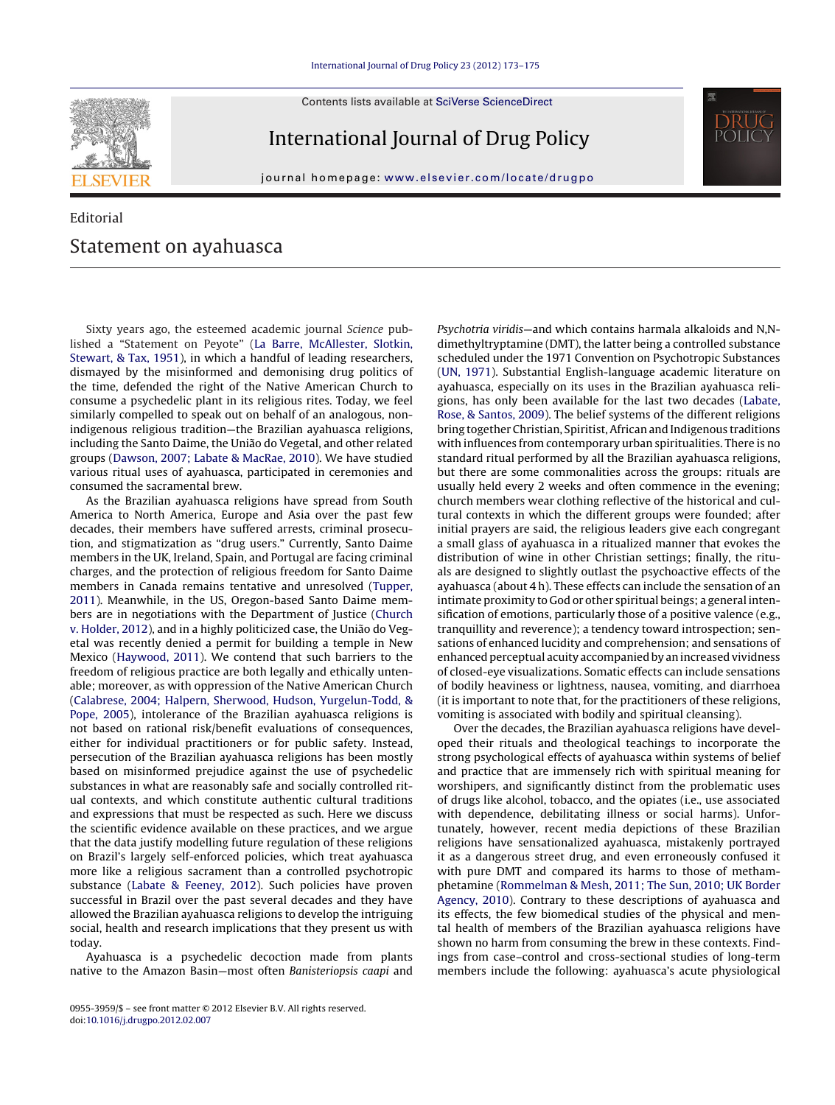Contents lists available at SciVerse [ScienceDirect](http://www.sciencedirect.com/science/journal/09553959)



International Journal of Drug Policy



iournal homepage: [www.elsevier.com/locate/drugpo](http://www.elsevier.com/locate/drugpo)

## Editorial Statement on ayahuasca

Sixty years ago, the esteemed academic journal Science published a "Statement on Peyote" ([La](#page-2-0) [Barre,](#page-2-0) [McAllester,](#page-2-0) [Slotkin,](#page-2-0) [Stewart,](#page-2-0) [&](#page-2-0) [Tax,](#page-2-0) [1951\),](#page-2-0) in which a handful of leading researchers, dismayed by the misinformed and demonising drug politics of the time, defended the right of the Native American Church to consume a psychedelic plant in its religious rites. Today, we feel similarly compelled to speak out on behalf of an analogous, nonindigenous religious tradition—the Brazilian ayahuasca religions, including the Santo Daime, the União do Vegetal, and other related groups [\(Dawson,](#page-2-0) [2007;](#page-2-0) [Labate](#page-2-0) [&](#page-2-0) [MacRae,](#page-2-0) [2010\).](#page-2-0) We have studied various ritual uses of ayahuasca, participated in ceremonies and consumed the sacramental brew.

As the Brazilian ayahuasca religions have spread from South America to North America, Europe and Asia over the past few decades, their members have suffered arrests, criminal prosecution, and stigmatization as "drug users." Currently, Santo Daime members in the UK, Ireland, Spain, and Portugal are facing criminal charges, and the protection of religious freedom for Santo Daime members in Canada remains tentative and unresolved [\(Tupper,](#page-2-0) [2011\).](#page-2-0) Meanwhile, in the US, Oregon-based Santo Daime members are in negotiations with the Department of Justice ([Church](#page-1-0) [v.](#page-1-0) [Holder,](#page-1-0) [2012\),](#page-1-0) and in a highly politicized case, the União do Vegetal was recently denied a permit for building a temple in New Mexico [\(Haywood,](#page-2-0) [2011\).](#page-2-0) We contend that such barriers to the freedom of religious practice are both legally and ethically untenable; moreover, as with oppression of the Native American Church ([Calabrese,](#page-1-0) [2004;](#page-1-0) [Halpern,](#page-1-0) [Sherwood,](#page-1-0) [Hudson,](#page-1-0) [Yurgelun-Todd,](#page-1-0) [&](#page-1-0) [Pope,](#page-1-0) [2005\),](#page-1-0) intolerance of the Brazilian ayahuasca religions is not based on rational risk/benefit evaluations of consequences, either for individual practitioners or for public safety. Instead, persecution of the Brazilian ayahuasca religions has been mostly based on misinformed prejudice against the use of psychedelic substances in what are reasonably safe and socially controlled ritual contexts, and which constitute authentic cultural traditions and expressions that must be respected as such. Here we discuss the scientific evidence available on these practices, and we argue that the data justify modelling future regulation of these religions on Brazil's largely self-enforced policies, which treat ayahuasca more like a religious sacrament than a controlled psychotropic substance ([Labate](#page-2-0) [&](#page-2-0) [Feeney,](#page-2-0) [2012\).](#page-2-0) Such policies have proven successful in Brazil over the past several decades and they have allowed the Brazilian ayahuasca religions to develop the intriguing social, health and research implications that they present us with today.

Ayahuasca is a psychedelic decoction made from plants native to the Amazon Basin—most often Banisteriopsis caapi and Psychotria viridis—and which contains harmala alkaloids and N,Ndimethyltryptamine (DMT), the latter being a controlled substance scheduled under the 1971 Convention on Psychotropic Substances [\(UN,](#page-2-0) [1971\).](#page-2-0) Substantial English-language academic literature on ayahuasca, especially on its uses in the Brazilian ayahuasca religions, has only been available for the last two decades ([Labate,](#page-2-0) [Rose,](#page-2-0) [&](#page-2-0) [Santos,](#page-2-0) [2009\).](#page-2-0) The belief systems of the different religions bring together Christian, Spiritist,African and Indigenous traditions with influences from contemporary urban spiritualities. There is no standard ritual performed by all the Brazilian ayahuasca religions, but there are some commonalities across the groups: rituals are usually held every 2 weeks and often commence in the evening; church members wear clothing reflective of the historical and cultural contexts in which the different groups were founded; after initial prayers are said, the religious leaders give each congregant a small glass of ayahuasca in a ritualized manner that evokes the distribution of wine in other Christian settings; finally, the rituals are designed to slightly outlast the psychoactive effects of the ayahuasca (about 4 h). These effects can include the sensation of an intimate proximity to God or other spiritual beings; a general intensification of emotions, particularly those of a positive valence (e.g., tranquillity and reverence); a tendency toward introspection; sensations of enhanced lucidity and comprehension; and sensations of enhanced perceptual acuity accompanied by an increased vividness of closed-eye visualizations. Somatic effects can include sensations of bodily heaviness or lightness, nausea, vomiting, and diarrhoea (it is important to note that, for the practitioners of these religions, vomiting is associated with bodily and spiritual cleansing).

Over the decades, the Brazilian ayahuasca religions have developed their rituals and theological teachings to incorporate the strong psychological effects of ayahuasca within systems of belief and practice that are immensely rich with spiritual meaning for worshipers, and significantly distinct from the problematic uses of drugs like alcohol, tobacco, and the opiates (i.e., use associated with dependence, debilitating illness or social harms). Unfortunately, however, recent media depictions of these Brazilian religions have sensationalized ayahuasca, mistakenly portrayed it as a dangerous street drug, and even erroneously confused it with pure DMT and compared its harms to those of methamphetamine ([Rommelman](#page-2-0) [&](#page-2-0) [Mesh,](#page-2-0) [2011;](#page-2-0) [The](#page-2-0) [Sun,](#page-2-0) [2010;](#page-2-0) [UK](#page-2-0) [Border](#page-2-0) [Agency,](#page-2-0) [2010\).](#page-2-0) Contrary to these descriptions of ayahuasca and its effects, the few biomedical studies of the physical and mental health of members of the Brazilian ayahuasca religions have shown no harm from consuming the brew in these contexts. Findings from case–control and cross-sectional studies of long-term members include the following: ayahuasca's acute physiological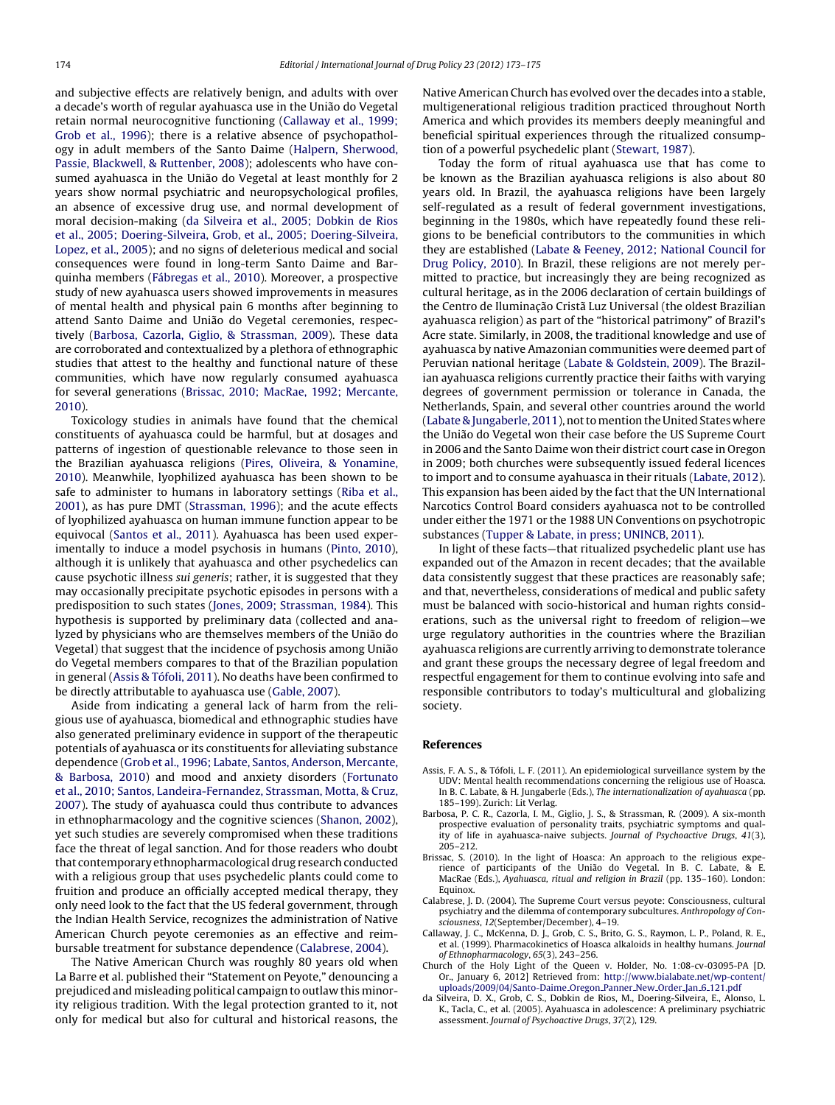<span id="page-1-0"></span>and subjective effects are relatively benign, and adults with over a decade's worth of regular ayahuasca use in the União do Vegetal retain normal neurocognitive functioning (Callaway et al., 1999; Grob et al., 1996); there is a relative absence of psychopathology in adult members of the Santo Daime ([Halpern,](#page-2-0) [Sherwood,](#page-2-0) [Passie,](#page-2-0) [Blackwell,](#page-2-0) [&](#page-2-0) [Ruttenber,](#page-2-0) [2008\);](#page-2-0) adolescents who have consumed ayahuasca in the União do Vegetal at least monthly for 2 years show normal psychiatric and neuropsychological profiles, an absence of excessive drug use, and normal development of moral decision-making (da Silveira et al., 2005; Dobkin de Rios et al., 2005; Doering-Silveira, Grob, et al., 2005; Doering-Silveira, Lopez, et al., 2005); and no signs of deleterious medical and social consequences were found in long-term Santo Daime and Barquinha members [\(Fábregas](#page-2-0) et [al.,](#page-2-0) [2010\).](#page-2-0) Moreover, a prospective study of new ayahuasca users showed improvements in measures of mental health and physical pain 6 months after beginning to attend Santo Daime and União do Vegetal ceremonies, respectively (Barbosa, Cazorla, Giglio, & Strassman, 2009). These data are corroborated and contextualized by a plethora of ethnographic studies that attest to the healthy and functional nature of these communities, which have now regularly consumed ayahuasca for several generations (Brissac, 2010; MacRae, 1992; Mercante, 2010).

Toxicology studies in animals have found that the chemical constituents of ayahuasca could be harmful, but at dosages and patterns of ingestion of questionable relevance to those seen in the Brazilian ayahuasca religions [\(Pires,](#page-2-0) [Oliveira,](#page-2-0) [&](#page-2-0) [Yonamine,](#page-2-0) [2010\).](#page-2-0) Meanwhile, lyophilized ayahuasca has been shown to be safe to administer to humans in laboratory settings ([Riba](#page-2-0) et [al.,](#page-2-0) [2001\),](#page-2-0) as has pure DMT [\(Strassman,](#page-2-0) [1996\);](#page-2-0) and the acute effects of lyophilized ayahuasca on human immune function appear to be equivocal ([Santos](#page-2-0) et [al.,](#page-2-0) [2011\).](#page-2-0) Ayahuasca has been used experimentally to induce a model psychosis in humans [\(Pinto,](#page-2-0) [2010\),](#page-2-0) although it is unlikely that ayahuasca and other psychedelics can cause psychotic illness sui generis; rather, it is suggested that they may occasionally precipitate psychotic episodes in persons with a predisposition to such states ([Jones,](#page-2-0) [2009;](#page-2-0) [Strassman,](#page-2-0) [1984\).](#page-2-0) This hypothesis is supported by preliminary data (collected and analyzed by physicians who are themselves members of the União do Vegetal) that suggest that the incidence of psychosis among União do Vegetal members compares to that of the Brazilian population in general (Assis & Tófoli, 2011). No deaths have been confirmed to be directly attributable to ayahuasca use [\(Gable,](#page-2-0) [2007\).](#page-2-0)

Aside from indicating a general lack of harm from the religious use of ayahuasca, biomedical and ethnographic studies have also generated preliminary evidence in support of the therapeutic potentials of ayahuasca or its constituents for alleviating substance dependence ([Grob](#page-2-0) et [al.,](#page-2-0) [1996;](#page-2-0) [Labate,](#page-2-0) [Santos,](#page-2-0) [Anderson,](#page-2-0) [Mercante,](#page-2-0) [&](#page-2-0) [Barbosa,](#page-2-0) [2010\)](#page-2-0) and mood and anxiety disorders ([Fortunato](#page-2-0) et [al.,](#page-2-0) [2010;](#page-2-0) [Santos,](#page-2-0) [Landeira-Fernandez,](#page-2-0) [Strassman,](#page-2-0) [Motta,](#page-2-0) [&](#page-2-0) [Cruz,](#page-2-0) [2007\).](#page-2-0) The study of ayahuasca could thus contribute to advances in ethnopharmacology and the cognitive sciences ([Shanon,](#page-2-0) [2002\),](#page-2-0) yet such studies are severely compromised when these traditions face the threat of legal sanction. And for those readers who doubt that contemporary ethnopharmacological drug research conducted with a religious group that uses psychedelic plants could come to fruition and produce an officially accepted medical therapy, they only need look to the fact that the US federal government, through the Indian Health Service, recognizes the administration of Native American Church peyote ceremonies as an effective and reimbursable treatment for substance dependence (Calabrese, 2004).

The Native American Church was roughly 80 years old when La Barre et al. published their "Statement on Peyote," denouncing a prejudiced and misleading political campaign to outlaw this minority religious tradition. With the legal protection granted to it, not only for medical but also for cultural and historical reasons, the

Native American Church has evolved over the decades into a stable, multigenerational religious tradition practiced throughout North America and which provides its members deeply meaningful and beneficial spiritual experiences through the ritualized consumption of a powerful psychedelic plant [\(Stewart,](#page-2-0) [1987\).](#page-2-0)

Today the form of ritual ayahuasca use that has come to be known as the Brazilian ayahuasca religions is also about 80 years old. In Brazil, the ayahuasca religions have been largely self-regulated as a result of federal government investigations, beginning in the 1980s, which have repeatedly found these religions to be beneficial contributors to the communities in which they are established [\(Labate](#page-2-0) [&](#page-2-0) [Feeney,](#page-2-0) [2012;](#page-2-0) [National](#page-2-0) [Council](#page-2-0) [for](#page-2-0) [Drug](#page-2-0) [Policy,](#page-2-0) [2010\).](#page-2-0) In Brazil, these religions are not merely permitted to practice, but increasingly they are being recognized as cultural heritage, as in the 2006 declaration of certain buildings of the Centro de Iluminação Cristã Luz Universal (the oldest Brazilian ayahuasca religion) as part of the "historical patrimony" of Brazil's Acre state. Similarly, in 2008, the traditional knowledge and use of ayahuasca by native Amazonian communities were deemed part of Peruvian national heritage [\(Labate](#page-2-0) [&](#page-2-0) [Goldstein,](#page-2-0) [2009\).](#page-2-0) The Brazilian ayahuasca religions currently practice their faiths with varying degrees of government permission or tolerance in Canada, the Netherlands, Spain, and several other countries around the world [\(Labate](#page-2-0) [&](#page-2-0) [Jungaberle,](#page-2-0) [2011\),](#page-2-0) not to mention the United States where the União do Vegetal won their case before the US Supreme Court in 2006 and the Santo Daime won their district court case in Oregon in 2009; both churches were subsequently issued federal licences to import and to consume ayahuasca in their rituals [\(Labate,](#page-2-0) [2012\).](#page-2-0) This expansion has been aided by the fact that the UN International Narcotics Control Board considers ayahuasca not to be controlled under either the 1971 or the 1988 UN Conventions on psychotropic substances [\(Tupper](#page-2-0) [&](#page-2-0) [Labate,](#page-2-0) [in](#page-2-0) [press;](#page-2-0) [UNINCB,](#page-2-0) [2011\).](#page-2-0)

In light of these facts—that ritualized psychedelic plant use has expanded out of the Amazon in recent decades; that the available data consistently suggest that these practices are reasonably safe; and that, nevertheless, considerations of medical and public safety must be balanced with socio-historical and human rights considerations, such as the universal right to freedom of religion—we urge regulatory authorities in the countries where the Brazilian ayahuasca religions are currently arriving to demonstrate tolerance and grant these groups the necessary degree of legal freedom and respectful engagement for them to continue evolving into safe and responsible contributors to today's multicultural and globalizing society.

## **References**

- Assis, F. A. S., & Tófoli, L. F. (2011). An epidemiological surveillance system by the UDV: Mental health recommendations concerning the religious use of Hoasca. In B. C. Labate, & H. Jungaberle (Eds.), The internationalization of ayahuasca (pp. 185–199). Zurich: Lit Verlag.
- Barbosa, P. C. R., Cazorla, I. M., Giglio, J. S., & Strassman, R. (2009). A six-month prospective evaluation of personality traits, psychiatric symptoms and quality of life in ayahuasca-naive subjects. Journal of Psychoactive Drugs, 41(3), 205–212.
- Brissac, S. (2010). In the light of Hoasca: An approach to the religious experience of participants of the União do Vegetal. In B. C. Labate, & E. MacRae (Eds.), Ayahuasca, ritual and religion in Brazil (pp. 135–160). London: Equinox.
- Calabrese, J. D. (2004). The Supreme Court versus peyote: Consciousness, cultural psychiatry and the dilemma of contemporary subcultures. Anthropology of Consciousness, 12(September/December), 4–19.
- Callaway, J. C., McKenna, D. J., Grob, C. S., Brito, G. S., Raymon, L. P., Poland, R. E., et al. (1999). Pharmacokinetics of Hoasca alkaloids in healthy humans. Journal of Ethnopharmacology, 65(3), 243–256.
- Church of the Holy Light of the Queen v. Holder, No. 1:08-cv-03095-PA [D. Or., January 6, 2012] Retrieved from: [http://www.bialabate.net/wp-content/](http://www.bialabate.net/wp-content/uploads/2009/04/Santo-Daime_Oregon_Panner_New_Order_Jan_6_121.pdf) [uploads/2009/04/Santo-Daime](http://www.bialabate.net/wp-content/uploads/2009/04/Santo-Daime_Oregon_Panner_New_Order_Jan_6_121.pdf) Oregon Panner New Order Jan 6 121.pdf
- da Silveira, D. X., Grob, C. S., Dobkin de Rios, M., Doering-Silveira, E., Alonso, L. K., Tacla, C., et al. (2005). Ayahuasca in adolescence: A preliminary psychiatric assessment. Journal of Psychoactive Drugs, 37(2), 129.